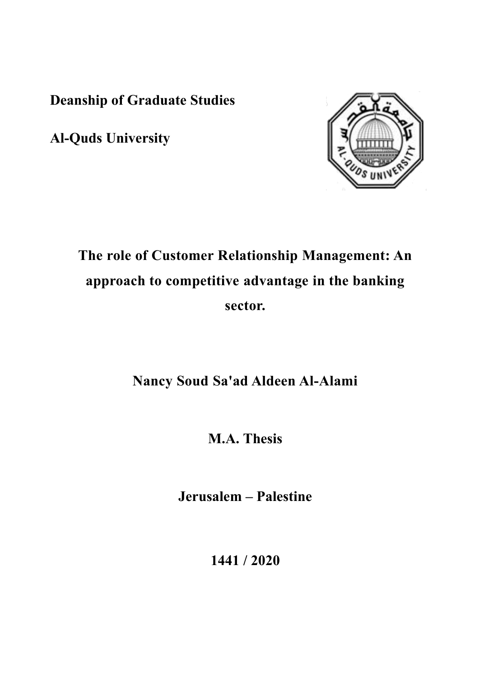**Deanship of Graduate Studies** 

**Al-Quds University**



# **The role of Customer Relationship Management: An approach to competitive advantage in the banking sector.**

## **Nancy Soud Sa'ad Aldeen Al-Alami**

**M.A. Thesis**

**Jerusalem – Palestine**

**1441 / 2020**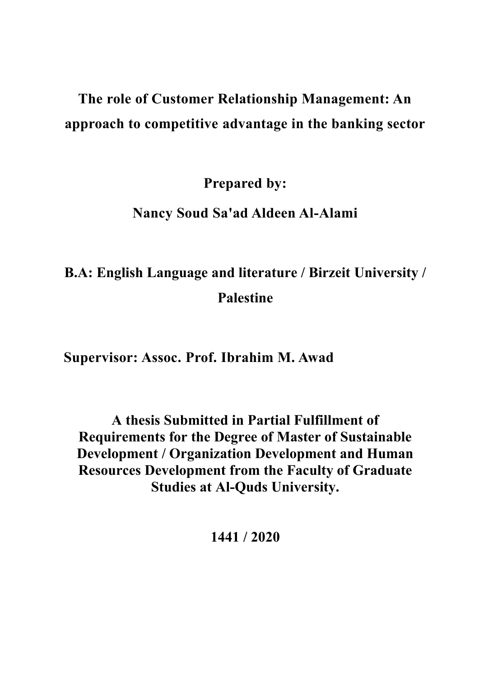# **The role of Customer Relationship Management: An approach to competitive advantage in the banking sector**

**Prepared by:**

## **Nancy Soud Sa'ad Aldeen Al-Alami**

# **B.A: English Language and literature / Birzeit University / Palestine**

**Supervisor: Assoc. Prof. Ibrahim M. Awad**

**A thesis Submitted in Partial Fulfillment of Requirements for the Degree of Master of Sustainable Development / Organization Development and Human Resources Development from the Faculty of Graduate Studies at Al-Quds University.**

**1441 / 2020**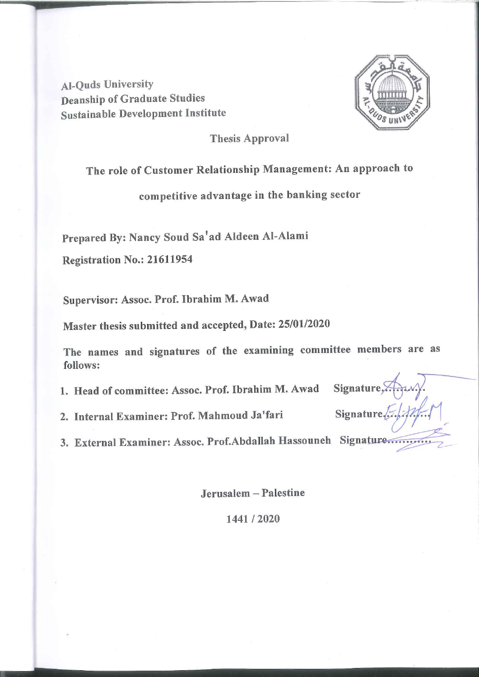**Al-Quds University Deanship of Graduate Studies Sustainable Development Institute** 



Signature,

Signature 2.6,

**Thesis Approval** 

## The role of Customer Relationship Management: An approach to

competitive advantage in the banking sector

Prepared By: Nancy Soud Sa'ad Aldeen Al-Alami

Registration No.: 21611954

Supervisor: Assoc. Prof. Ibrahim M. Awad

Master thesis submitted and accepted, Date: 25/01/2020

The names and signatures of the examining committee members are as follows:

1. Head of committee: Assoc. Prof. Ibrahim M. Awad

2. Internal Examiner: Prof. Mahmoud Ja'fari

3. External Examiner: Assoc. Prof.Abdallah Hassouneh Signature.

Jerusalem - Palestine

1441/2020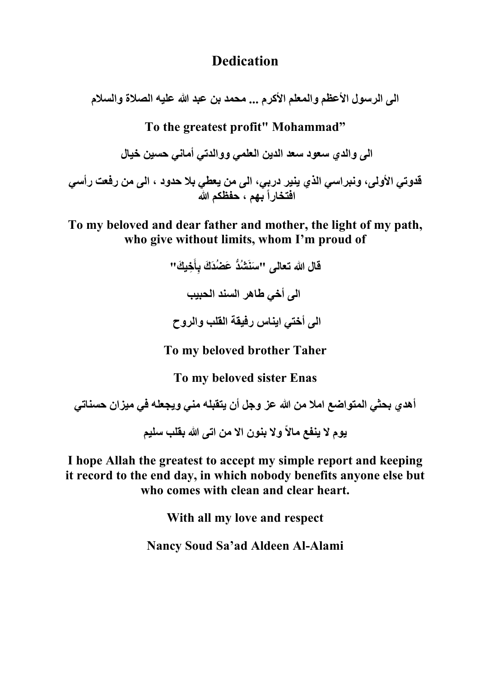## **Dedication**

**الى الرسول األعظم والمعلم األكرم ... محمد بن عبد هللا عليه الصالة والسالم**

**To the greatest profit" Mohammad"**

**الى والدي سعود سعد الدين العلمي ووالدتي أماني حسين خيال**

**قدوتي األولى، ونبراسي الذي ينير دربي، الى من يعطي بال حدود ، الى من رفعت رأسي افتخاراً بهم ، حفظكم هللا**

**To my beloved and dear father and mother, the light of my path, who give without limits, whom I'm proud of**

> **ِخي َك ِأ د َع ُضَد َك ب " َسنَ " ُشُّ قال هللا تعالى َ الى أخي طاهر السند الحبيب الى أختي ايناس رفيقة القلب والروح**

**To my beloved brother Taher**

**To my beloved sister Enas**

**أهدي بحثي المتواضع امال من هللا عز وجل أن يتقبله مني ويجعله في ميزان حسناتي يوم ال ينفع ماالً وال بنون اال من اتى هللا بقلب سليم**

**I hope Allah the greatest to accept my simple report and keeping it record to the end day, in which nobody benefits anyone else but who comes with clean and clear heart.**

**With all my love and respect**

**Nancy Soud Sa'ad Aldeen Al-Alami**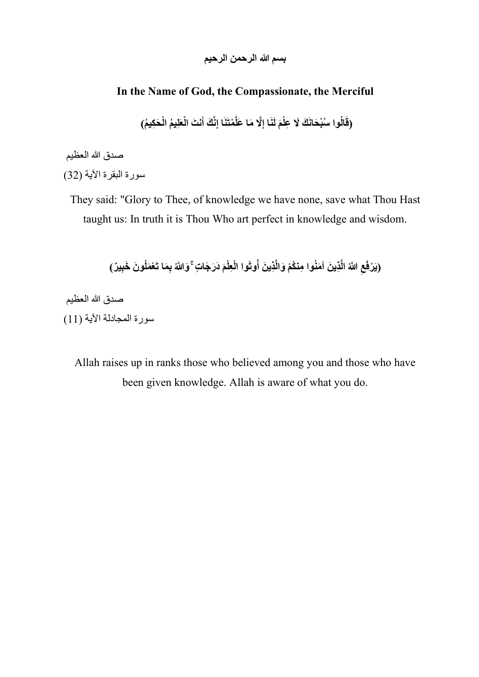**بسم هللا الرحمن الرحيم** 

### **In the Name of God, the Compassionate, the Merciful**

(قَالُوا سُبْحَانَكَ لَا عِلْمَ لَنَا إِلَّا مَا عَلَّمْتَنَا إِنَّكَ أَنتَ الْعَلِيمُ الْحَكِيمُ)

صدق الله العظيم

سورة البقرة الآية (32)

They said: "Glory to Thee, of knowledge we have none, save what Thou Hast taught us: In truth it is Thou Who art perfect in knowledge and wisdom.

> (يَرْفَعِ اللَّهُ الَّذِينَ آمَنُوا مِنكُمْ وَالَّذِينَ أُوتُوا الْعِلْمَ دَرَجَاتٍ ۚ وَاللَّهُ بِمَا تَعْمَلُونَ خَبِيرٌ ) **ِ**

صدق الله العظيم سورة المجادلة الآية (11)

> Allah raises up in ranks those who believed among you and those who have been given knowledge. Allah is aware of what you do.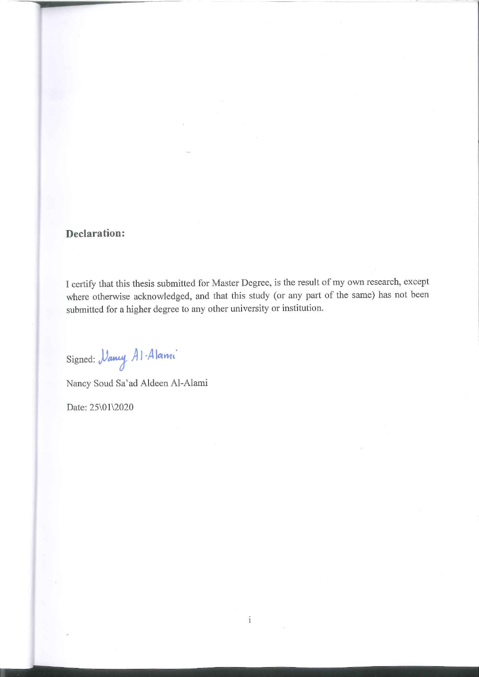#### **Declaration:**

I certify that this thesis submitted for Master Degree, is the result of my own research, except where otherwise acknowledged, and that this study (or any part of the same) has not been submitted for a higher degree to any other university or institution.

 $\mathbf i$ 

Signed: *Vancy* Al-Alami

Nancy Soud Sa'ad Aldeen Al-Alami

Date: 25\01\2020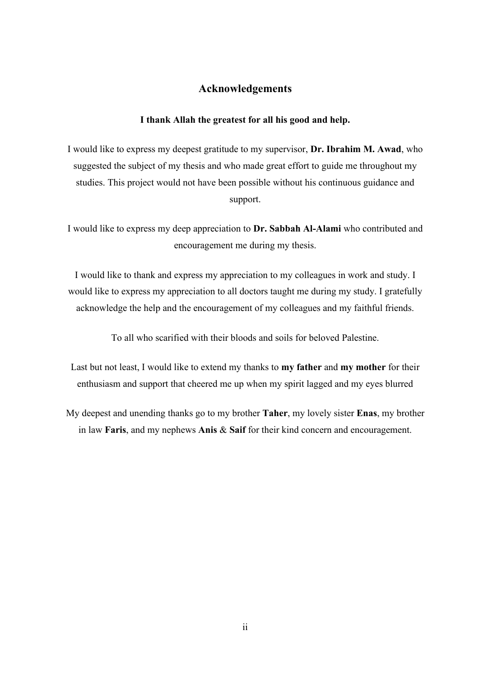#### **Acknowledgements**

#### **I thank Allah the greatest for all his good and help.**

I would like to express my deepest gratitude to my supervisor, **Dr. Ibrahim M. Awad**, who suggested the subject of my thesis and who made great effort to guide me throughout my studies. This project would not have been possible without his continuous guidance and support.

I would like to express my deep appreciation to **Dr. Sabbah Al-Alami** who contributed and encouragement me during my thesis.

I would like to thank and express my appreciation to my colleagues in work and study. I would like to express my appreciation to all doctors taught me during my study. I gratefully acknowledge the help and the encouragement of my colleagues and my faithful friends.

To all who scarified with their bloods and soils for beloved Palestine.

Last but not least, I would like to extend my thanks to **my father** and **my mother** for their enthusiasm and support that cheered me up when my spirit lagged and my eyes blurred

My deepest and unending thanks go to my brother **Taher**, my lovely sister **Enas**, my brother in law **Faris**, and my nephews **Anis** & **Saif** for their kind concern and encouragement.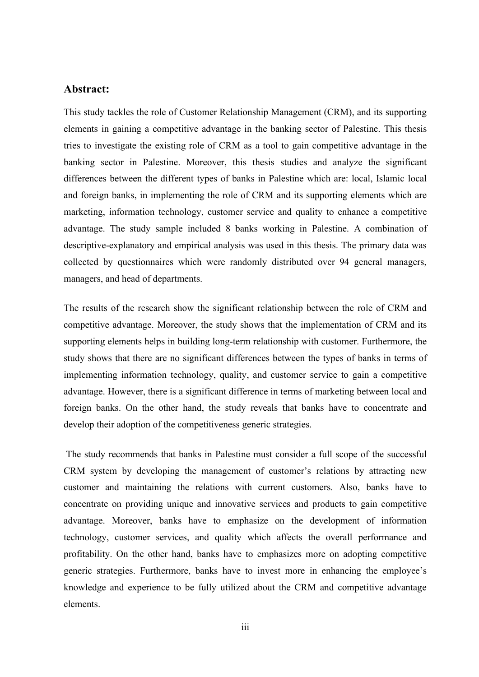#### <span id="page-7-0"></span>**Abstract:**

This study tackles the role of Customer Relationship Management (CRM), and its supporting elements in gaining a competitive advantage in the banking sector of Palestine. This thesis tries to investigate the existing role of CRM as a tool to gain competitive advantage in the banking sector in Palestine. Moreover, this thesis studies and analyze the significant differences between the different types of banks in Palestine which are: local, Islamic local and foreign banks, in implementing the role of CRM and its supporting elements which are marketing, information technology, customer service and quality to enhance a competitive advantage. The study sample included 8 banks working in Palestine. A combination of descriptive-explanatory and empirical analysis was used in this thesis. The primary data was collected by questionnaires which were randomly distributed over 94 general managers, managers, and head of departments.

The results of the research show the significant relationship between the role of CRM and competitive advantage. Moreover, the study shows that the implementation of CRM and its supporting elements helps in building long-term relationship with customer. Furthermore, the study shows that there are no significant differences between the types of banks in terms of implementing information technology, quality, and customer service to gain a competitive advantage. However, there is a significant difference in terms of marketing between local and foreign banks. On the other hand, the study reveals that banks have to concentrate and develop their adoption of the competitiveness generic strategies.

The study recommends that banks in Palestine must consider a full scope of the successful CRM system by developing the management of customer's relations by attracting new customer and maintaining the relations with current customers. Also, banks have to concentrate on providing unique and innovative services and products to gain competitive advantage. Moreover, banks have to emphasize on the development of information technology, customer services, and quality which affects the overall performance and profitability. On the other hand, banks have to emphasizes more on adopting competitive generic strategies. Furthermore, banks have to invest more in enhancing the employee's knowledge and experience to be fully utilized about the CRM and competitive advantage elements.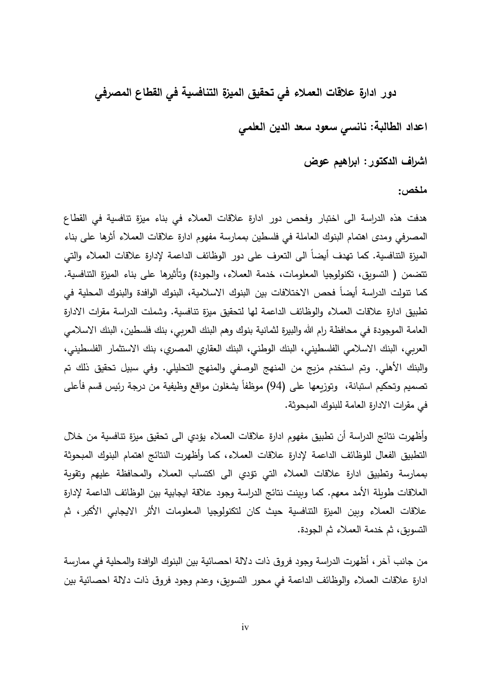**دور ادارة عالقات العمالء في تحقيق الميزة التنافسية في القطاع المصرفي**

**اعداد الطالبة: نانسي سعود سعد الدين العلمي**

**اشراف الدكتور: ابراهيم عوض**

<span id="page-8-0"></span>**ملخص:**

هدفت هذه الدراسة الى اختبار وفحص دور ادارة عالقات العمالء في بناء ميزة تنافسية في القطاع المصرفي و مدى اهتمام البنوك العاملة في فلسطين بممارسة مفهوم ادارة عالقات العمالء أثرها على بناء الميزة التنافسية. كما تهدف أيضاً الى التعرف على دور الوظائف الداعمة لإدارة علاقات العملاء والتي تتضمن ( التسويق، تكنولوجيا المعلومات، خدمة العملاء، والجودة) وتأثيرها على بناء الميزة التنافسية. كما تتولت الدراسة أيضا فحص الاختلافات بين البنوك الاسلامية، البنوك الوافدة والبنوك المحلية في تطبيق ادارة علاقات العملاء والوظائف الداعمة لها لتحقيق ميزة تنافسية. وشملت الدراسة مقرات الادارة العامة الموجودة في محافظة رام الله والبيرة لثمانية بنوك وهم البنك العربي، بنك فلسطين، البنك الاسلامي العربي، البنك الاسلامي الفلسطيني، البنك الوطني، البنك العقاري المصري، بنك الاستثمار الفلسطيني، والبنك الأهلي. وتم استخدم مزيج من المنهج الوصفي والمنهج التحليلي. وفي سبيل تحقيق ذلك تم تصميم وتحكيم استبانة، وتوزيعها على (94) موظفاً يشغلون مواقع وظيفية من درجة رئيس قسم فأعلى في مقرات االدارة العامة للبنوك المبحوثة.

وأظهرت نتائج الدراسة أن تطبيق مفهوم ادارة عالقات العمالء يؤدي الى تحقيق ميزة تنافسية من خالل التطبيق الفعال للوظائف الداعمة إلدارة عالقات العمالء، كما وأظهرت النتائج اهتمام البنوك المبحوثة بممارسة وتطبيق ادارة عالقات العمالء التي تؤدي الى اكتساب العمالء والمحافظة عليهم وتقوية العلاقات طويلة الأمد معهم. كما وبينت نتائج الدراسة وجود علاقة ايجابية بين الوظائف الداعمة لإدارة عالقات العمالء وبين الميزة التنافسية حيث كان لتكنولوجيا المعلومات األثر االيجابي األكبر، ثم التسويق، ثم خدمة العمالء ثم الجودة.

من جانب آخر، أظهرت الدراسة وجود فروق ذات داللة احصائية بين البنوك الوافدة والمحلية في ممارسة ادارة عالقات العمالء والوظائف الداعمة في محور التسويق، وعدم وجود فروق ذات داللة احصائية بين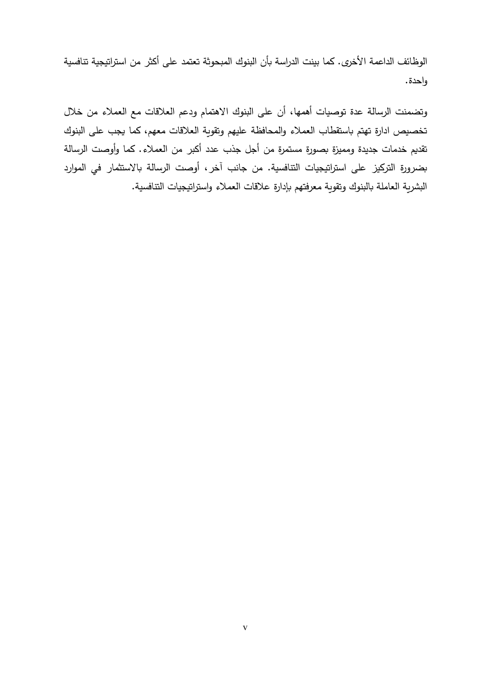الوظائف الداعمة األخرى. كما بينت الدراسة بأن البنوك المبحوثة تعتمد على أكثر من استراتيجية تنافسية واحدة.

وتضمنت الرسالة عدة توصيات أهمها، أن على البنوك االهتمام ودعم العالقات مع العمالء من خالل تخصيص ادارة تهتم باستقطاب العملاء والمحافظة عليهم وتقوية العلاقات معهم، كما يجب على البنوك تقديم خدمات جديدة ومميزة بصورة مستمرة من أجل جذب عدد أكبر من العمالء. كما وأوصت الرسالة بضرورة التركيز على استراتيجيات التنافسية. من جانب آخر، أوصت الرسالة باالستثمار في الموارد البشرية العاملة بالبنوك وتقوية معرفتهم بإدارة عالقات العمالء واستراتيجيات التنافسية.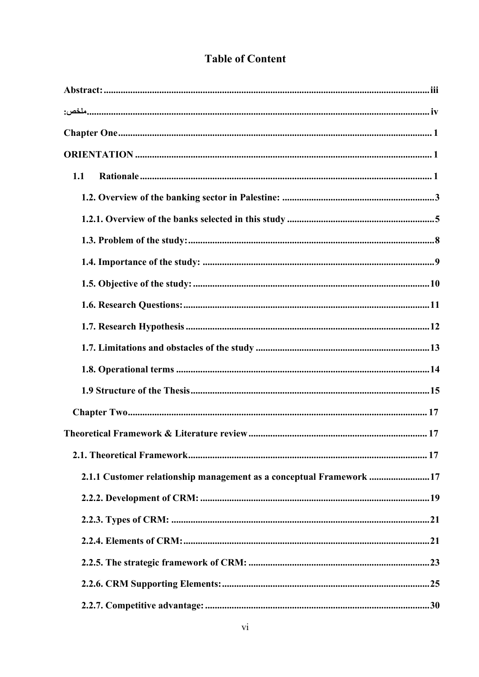### **Table of Content**

| 1.1                                                                 |  |
|---------------------------------------------------------------------|--|
|                                                                     |  |
|                                                                     |  |
|                                                                     |  |
|                                                                     |  |
|                                                                     |  |
|                                                                     |  |
|                                                                     |  |
|                                                                     |  |
|                                                                     |  |
|                                                                     |  |
|                                                                     |  |
|                                                                     |  |
|                                                                     |  |
| 2.1.1 Customer relationship management as a conceptual Framework 17 |  |
|                                                                     |  |
|                                                                     |  |
|                                                                     |  |
|                                                                     |  |
|                                                                     |  |
|                                                                     |  |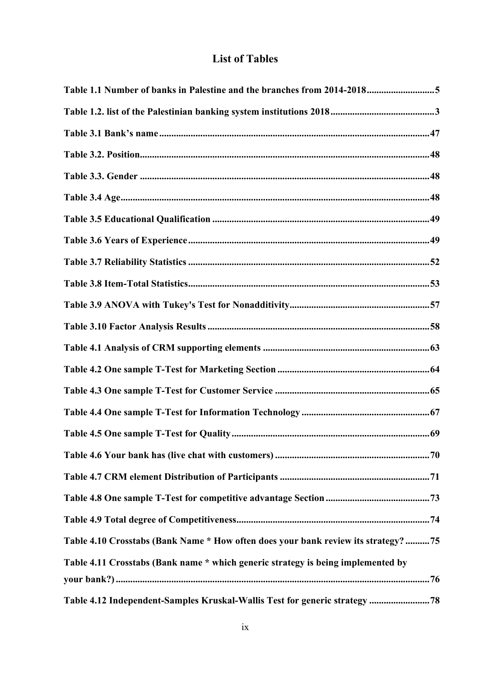### **List of Tables**

| Table 1.1 Number of banks in Palestine and the branches from 2014-20185            |  |
|------------------------------------------------------------------------------------|--|
|                                                                                    |  |
|                                                                                    |  |
|                                                                                    |  |
|                                                                                    |  |
|                                                                                    |  |
|                                                                                    |  |
|                                                                                    |  |
|                                                                                    |  |
|                                                                                    |  |
|                                                                                    |  |
|                                                                                    |  |
|                                                                                    |  |
|                                                                                    |  |
|                                                                                    |  |
|                                                                                    |  |
|                                                                                    |  |
|                                                                                    |  |
|                                                                                    |  |
|                                                                                    |  |
|                                                                                    |  |
| Table 4.10 Crosstabs (Bank Name * How often does your bank review its strategy? 75 |  |
| Table 4.11 Crosstabs (Bank name * which generic strategy is being implemented by   |  |
|                                                                                    |  |
| Table 4.12 Independent-Samples Kruskal-Wallis Test for generic strategy  78        |  |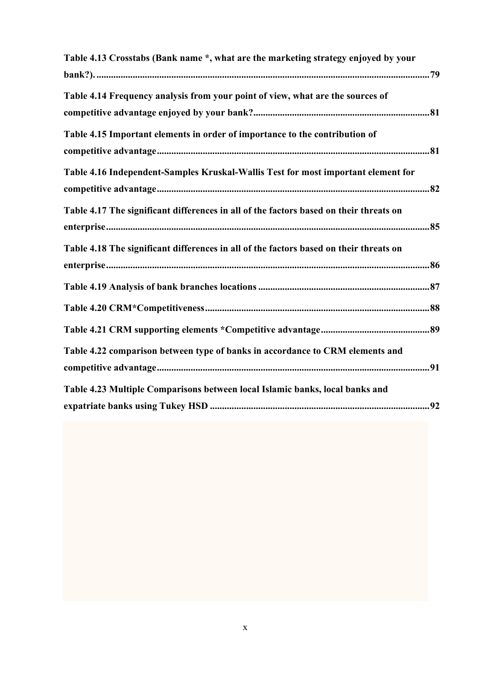| Table 4.13 Crosstabs (Bank name *, what are the marketing strategy enjoyed by your     |
|----------------------------------------------------------------------------------------|
|                                                                                        |
| Table 4.14 Frequency analysis from your point of view, what are the sources of         |
|                                                                                        |
| Table 4.15 Important elements in order of importance to the contribution of            |
|                                                                                        |
| Table 4.16 Independent-Samples Kruskal-Wallis Test for most important element for      |
|                                                                                        |
| Table 4.17 The significant differences in all of the factors based on their threats on |
|                                                                                        |
| Table 4.18 The significant differences in all of the factors based on their threats on |
|                                                                                        |
|                                                                                        |
|                                                                                        |
|                                                                                        |
| Table 4.22 comparison between type of banks in accordance to CRM elements and          |
|                                                                                        |
| Table 4.23 Multiple Comparisons between local Islamic banks, local banks and           |
|                                                                                        |